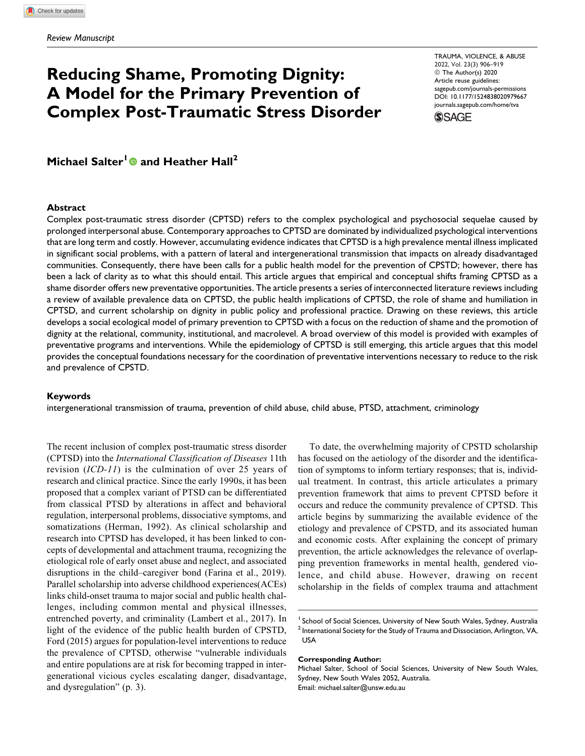# **Reducing Shame, Promoting Dignity: A Model for the Primary Prevention of Complex Post-Traumatic Stress Disorder**

2022, Vol. 23(3) 906–919 TRAUMA, VIOLENCE, & ABUSE © The Author(s) 2020 Article reuse guidelines: sagepub.com/journals-permissions DOI: 10.1177/1524838020979667 journals.sagepub.com/home/tva



**Michael Salter<sup>1</sup> and Heather Hall<sup>2</sup>**

#### **Abstract**

Complex post-traumatic stress disorder (CPTSD) refers to the complex psychological and psychosocial sequelae caused by prolonged interpersonal abuse. Contemporary approaches to CPTSD are dominated by individualized psychological interventions that are long term and costly. However, accumulating evidence indicates that CPTSD is a high prevalence mental illness implicated in significant social problems, with a pattern of lateral and intergenerational transmission that impacts on already disadvantaged communities. Consequently, there have been calls for a public health model for the prevention of CPSTD; however, there has been a lack of clarity as to what this should entail. This article argues that empirical and conceptual shifts framing CPTSD as a shame disorder offers new preventative opportunities. The article presents a series of interconnected literature reviews including a review of available prevalence data on CPTSD, the public health implications of CPTSD, the role of shame and humiliation in CPTSD, and current scholarship on dignity in public policy and professional practice. Drawing on these reviews, this article develops a social ecological model of primary prevention to CPTSD with a focus on the reduction of shame and the promotion of dignity at the relational, community, institutional, and macrolevel. A broad overview of this model is provided with examples of preventative programs and interventions. While the epidemiology of CPTSD is still emerging, this article argues that this model provides the conceptual foundations necessary for the coordination of preventative interventions necessary to reduce to the risk and prevalence of CPSTD.

#### **Keywords**

intergenerational transmission of trauma, prevention of child abuse, child abuse, PTSD, attachment, criminology

The recent inclusion of complex post-traumatic stress disorder (CPTSD) into the International Classification of Diseases 11th revision (ICD-11) is the culmination of over 25 years of research and clinical practice. Since the early 1990s, it has been proposed that a complex variant of PTSD can be differentiated from classical PTSD by alterations in affect and behavioral regulation, interpersonal problems, dissociative symptoms, and somatizations (Herman, 1992). As clinical scholarship and research into CPTSD has developed, it has been linked to concepts of developmental and attachment trauma, recognizing the etiological role of early onset abuse and neglect, and associated disruptions in the child–caregiver bond (Farina et al., 2019). Parallel scholarship into adverse childhood experiences(ACEs) links child-onset trauma to major social and public health challenges, including common mental and physical illnesses, entrenched poverty, and criminality (Lambert et al., 2017). In light of the evidence of the public health burden of CPSTD, Ford (2015) argues for population-level interventions to reduce the prevalence of CPTSD, otherwise "vulnerable individuals and entire populations are at risk for becoming trapped in intergenerational vicious cycles escalating danger, disadvantage, and dysregulation" (p. 3).

To date, the overwhelming majority of CPSTD scholarship has focused on the aetiology of the disorder and the identification of symptoms to inform tertiary responses; that is, individual treatment. In contrast, this article articulates a primary prevention framework that aims to prevent CPTSD before it occurs and reduce the community prevalence of CPTSD. This article begins by summarizing the available evidence of the etiology and prevalence of CPSTD, and its associated human and economic costs. After explaining the concept of primary prevention, the article acknowledges the relevance of overlapping prevention frameworks in mental health, gendered violence, and child abuse. However, drawing on recent scholarship in the fields of complex trauma and attachment

#### **Corresponding Author:**

<sup>&</sup>lt;sup>1</sup> School of Social Sciences, University of New South Wales, Sydney, Australia  $^2$  International Society for the Study of Trauma and Dissociation, Arlington, VA, USA

Michael Salter, School of Social Sciences, University of New South Wales, Sydney, New South Wales 2052, Australia. Email: michael.salter@unsw.edu.au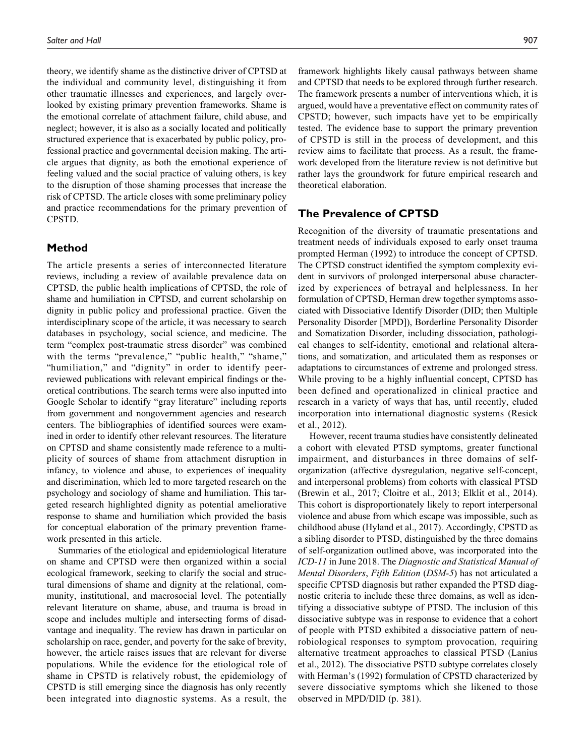theory, we identify shame as the distinctive driver of CPTSD at the individual and community level, distinguishing it from other traumatic illnesses and experiences, and largely overlooked by existing primary prevention frameworks. Shame is the emotional correlate of attachment failure, child abuse, and neglect; however, it is also as a socially located and politically structured experience that is exacerbated by public policy, professional practice and governmental decision making. The article argues that dignity, as both the emotional experience of feeling valued and the social practice of valuing others, is key to the disruption of those shaming processes that increase the risk of CPTSD. The article closes with some preliminary policy and practice recommendations for the primary prevention of CPSTD.

## **Method**

The article presents a series of interconnected literature reviews, including a review of available prevalence data on CPTSD, the public health implications of CPTSD, the role of shame and humiliation in CPTSD, and current scholarship on dignity in public policy and professional practice. Given the interdisciplinary scope of the article, it was necessary to search databases in psychology, social science, and medicine. The term "complex post-traumatic stress disorder" was combined with the terms "prevalence," "public health," "shame," "humiliation," and "dignity" in order to identify peerreviewed publications with relevant empirical findings or theoretical contributions. The search terms were also inputted into Google Scholar to identify "gray literature" including reports from government and nongovernment agencies and research centers. The bibliographies of identified sources were examined in order to identify other relevant resources. The literature on CPTSD and shame consistently made reference to a multiplicity of sources of shame from attachment disruption in infancy, to violence and abuse, to experiences of inequality and discrimination, which led to more targeted research on the psychology and sociology of shame and humiliation. This targeted research highlighted dignity as potential ameliorative response to shame and humiliation which provided the basis for conceptual elaboration of the primary prevention framework presented in this article.

Summaries of the etiological and epidemiological literature on shame and CPTSD were then organized within a social ecological framework, seeking to clarify the social and structural dimensions of shame and dignity at the relational, community, institutional, and macrosocial level. The potentially relevant literature on shame, abuse, and trauma is broad in scope and includes multiple and intersecting forms of disadvantage and inequality. The review has drawn in particular on scholarship on race, gender, and poverty for the sake of brevity, however, the article raises issues that are relevant for diverse populations. While the evidence for the etiological role of shame in CPSTD is relatively robust, the epidemiology of CPSTD is still emerging since the diagnosis has only recently been integrated into diagnostic systems. As a result, the framework highlights likely causal pathways between shame and CPTSD that needs to be explored through further research. The framework presents a number of interventions which, it is argued, would have a preventative effect on community rates of CPSTD; however, such impacts have yet to be empirically tested. The evidence base to support the primary prevention of CPSTD is still in the process of development, and this review aims to facilitate that process. As a result, the framework developed from the literature review is not definitive but rather lays the groundwork for future empirical research and theoretical elaboration.

## **The Prevalence of CPTSD**

Recognition of the diversity of traumatic presentations and treatment needs of individuals exposed to early onset trauma prompted Herman (1992) to introduce the concept of CPTSD. The CPTSD construct identified the symptom complexity evident in survivors of prolonged interpersonal abuse characterized by experiences of betrayal and helplessness. In her formulation of CPTSD, Herman drew together symptoms associated with Dissociative Identify Disorder (DID; then Multiple Personality Disorder [MPD]), Borderline Personality Disorder and Somatization Disorder, including dissociation, pathological changes to self-identity, emotional and relational alterations, and somatization, and articulated them as responses or adaptations to circumstances of extreme and prolonged stress. While proving to be a highly influential concept, CPTSD has been defined and operationalized in clinical practice and research in a variety of ways that has, until recently, eluded incorporation into international diagnostic systems (Resick et al., 2012).

However, recent trauma studies have consistently delineated a cohort with elevated PTSD symptoms, greater functional impairment, and disturbances in three domains of selforganization (affective dysregulation, negative self-concept, and interpersonal problems) from cohorts with classical PTSD (Brewin et al., 2017; Cloitre et al., 2013; Elklit et al., 2014). This cohort is disproportionately likely to report interpersonal violence and abuse from which escape was impossible, such as childhood abuse (Hyland et al., 2017). Accordingly, CPSTD as a sibling disorder to PTSD, distinguished by the three domains of self-organization outlined above, was incorporated into the ICD-11 in June 2018. The Diagnostic and Statistical Manual of Mental Disorders, Fifth Edition (DSM-5) has not articulated a specific CPTSD diagnosis but rather expanded the PTSD diagnostic criteria to include these three domains, as well as identifying a dissociative subtype of PTSD. The inclusion of this dissociative subtype was in response to evidence that a cohort of people with PTSD exhibited a dissociative pattern of neurobiological responses to symptom provocation, requiring alternative treatment approaches to classical PTSD (Lanius et al., 2012). The dissociative PSTD subtype correlates closely with Herman's (1992) formulation of CPSTD characterized by severe dissociative symptoms which she likened to those observed in MPD/DID (p. 381).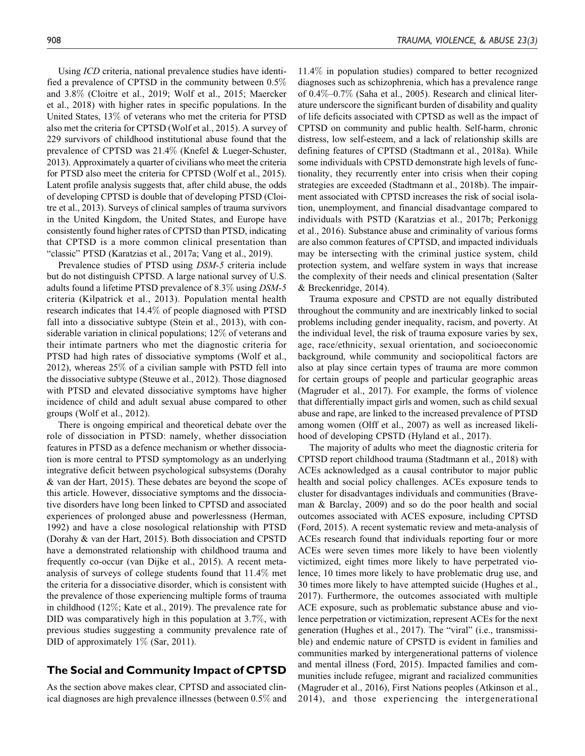Using ICD criteria, national prevalence studies have identified a prevalence of CPTSD in the community between 0.5% and 3.8% (Cloitre et al., 2019; Wolf et al., 2015; Maercker et al., 2018) with higher rates in specific populations. In the United States, 13% of veterans who met the criteria for PTSD also met the criteria for CPTSD (Wolf et al., 2015). A survey of 229 survivors of childhood institutional abuse found that the prevalence of CPTSD was 21.4% (Knefel & Lueger-Schuster, 2013). Approximately a quarter of civilians who meet the criteria for PTSD also meet the criteria for CPTSD (Wolf et al., 2015). Latent profile analysis suggests that, after child abuse, the odds of developing CPTSD is double that of developing PTSD (Cloitre et al., 2013). Surveys of clinical samples of trauma survivors in the United Kingdom, the United States, and Europe have consistently found higher rates of CPTSD than PTSD, indicating that CPTSD is a more common clinical presentation than "classic" PTSD (Karatzias et al., 2017a; Vang et al., 2019).

Prevalence studies of PTSD using DSM-5 criteria include but do not distinguish CPTSD. A large national survey of U.S. adults found a lifetime PTSD prevalence of 8.3% using DSM-5 criteria (Kilpatrick et al., 2013). Population mental health research indicates that 14.4% of people diagnosed with PTSD fall into a dissociative subtype (Stein et al., 2013), with considerable variation in clinical populations; 12% of veterans and their intimate partners who met the diagnostic criteria for PTSD had high rates of dissociative symptoms (Wolf et al., 2012), whereas 25% of a civilian sample with PSTD fell into the dissociative subtype (Steuwe et al., 2012). Those diagnosed with PTSD and elevated dissociative symptoms have higher incidence of child and adult sexual abuse compared to other groups (Wolf et al., 2012).

There is ongoing empirical and theoretical debate over the role of dissociation in PTSD: namely, whether dissociation features in PTSD as a defence mechanism or whether dissociation is more central to PTSD symptomology as an underlying integrative deficit between psychological subsystems (Dorahy & van der Hart, 2015). These debates are beyond the scope of this article. However, dissociative symptoms and the dissociative disorders have long been linked to CPTSD and associated experiences of prolonged abuse and powerlessness (Herman, 1992) and have a close nosological relationship with PTSD (Dorahy & van der Hart, 2015). Both dissociation and CPSTD have a demonstrated relationship with childhood trauma and frequently co-occur (van Dijke et al., 2015). A recent metaanalysis of surveys of college students found that 11.4% met the criteria for a dissociative disorder, which is consistent with the prevalence of those experiencing multiple forms of trauma in childhood (12%; Kate et al., 2019). The prevalence rate for DID was comparatively high in this population at 3.7%, with previous studies suggesting a community prevalence rate of DID of approximately 1\% (Sar, 2011).

# **The Social and Community Impact of CPTSD**

As the section above makes clear, CPTSD and associated clinical diagnoses are high prevalence illnesses (between 0.5% and

11.4% in population studies) compared to better recognized diagnoses such as schizophrenia, which has a prevalence range of 0.4%–0.7% (Saha et al., 2005). Research and clinical literature underscore the significant burden of disability and quality of life deficits associated with CPTSD as well as the impact of CPTSD on community and public health. Self-harm, chronic distress, low self-esteem, and a lack of relationship skills are defining features of CPTSD (Stadtmann et al., 2018a). While some individuals with CPSTD demonstrate high levels of functionality, they recurrently enter into crisis when their coping strategies are exceeded (Stadtmann et al., 2018b). The impairment associated with CPTSD increases the risk of social isolation, unemployment, and financial disadvantage compared to individuals with PSTD (Karatzias et al., 2017b; Perkonigg et al., 2016). Substance abuse and criminality of various forms are also common features of CPTSD, and impacted individuals may be intersecting with the criminal justice system, child protection system, and welfare system in ways that increase the complexity of their needs and clinical presentation (Salter & Breckenridge, 2014).

Trauma exposure and CPSTD are not equally distributed throughout the community and are inextricably linked to social problems including gender inequality, racism, and poverty. At the individual level, the risk of trauma exposure varies by sex, age, race/ethnicity, sexual orientation, and socioeconomic background, while community and sociopolitical factors are also at play since certain types of trauma are more common for certain groups of people and particular geographic areas (Magruder et al., 2017). For example, the forms of violence that differentially impact girls and women, such as child sexual abuse and rape, are linked to the increased prevalence of PTSD among women (Olff et al., 2007) as well as increased likelihood of developing CPSTD (Hyland et al., 2017).

The majority of adults who meet the diagnostic criteria for CPTSD report childhood trauma (Stadtmann et al., 2018) with ACEs acknowledged as a causal contributor to major public health and social policy challenges. ACEs exposure tends to cluster for disadvantages individuals and communities (Braveman & Barclay, 2009) and so do the poor health and social outcomes associated with ACES exposure, including CPTSD (Ford, 2015). A recent systematic review and meta-analysis of ACEs research found that individuals reporting four or more ACEs were seven times more likely to have been violently victimized, eight times more likely to have perpetrated violence, 10 times more likely to have problematic drug use, and 30 times more likely to have attempted suicide (Hughes et al., 2017). Furthermore, the outcomes associated with multiple ACE exposure, such as problematic substance abuse and violence perpetration or victimization, represent ACEs for the next generation (Hughes et al., 2017). The "viral" (i.e., transmissible) and endemic nature of CPSTD is evident in families and communities marked by intergenerational patterns of violence and mental illness (Ford, 2015). Impacted families and communities include refugee, migrant and racialized communities (Magruder et al., 2016), First Nations peoples (Atkinson et al., 2014), and those experiencing the intergenerational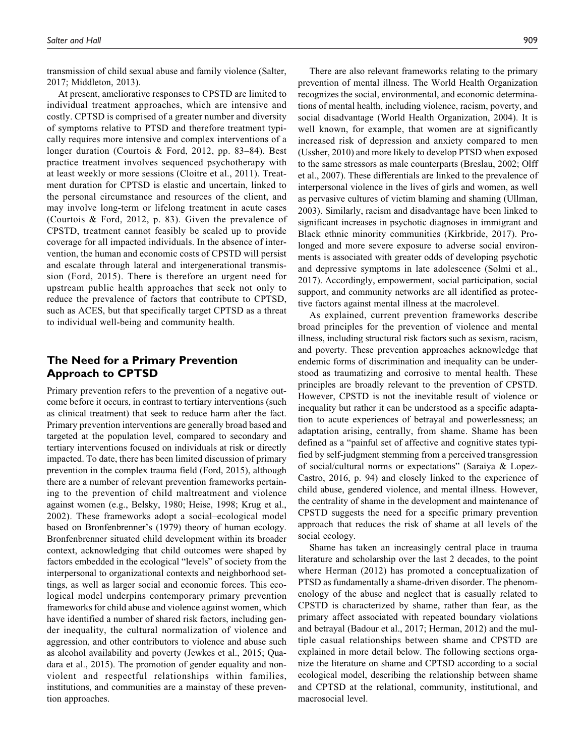transmission of child sexual abuse and family violence (Salter, 2017; Middleton, 2013).

At present, ameliorative responses to CPSTD are limited to individual treatment approaches, which are intensive and costly. CPTSD is comprised of a greater number and diversity of symptoms relative to PTSD and therefore treatment typically requires more intensive and complex interventions of a longer duration (Courtois & Ford, 2012, pp. 83–84). Best practice treatment involves sequenced psychotherapy with at least weekly or more sessions (Cloitre et al., 2011). Treatment duration for CPTSD is elastic and uncertain, linked to the personal circumstance and resources of the client, and may involve long-term or lifelong treatment in acute cases (Courtois & Ford, 2012, p. 83). Given the prevalence of CPSTD, treatment cannot feasibly be scaled up to provide coverage for all impacted individuals. In the absence of intervention, the human and economic costs of CPSTD will persist and escalate through lateral and intergenerational transmission (Ford, 2015). There is therefore an urgent need for upstream public health approaches that seek not only to reduce the prevalence of factors that contribute to CPTSD, such as ACES, but that specifically target CPTSD as a threat to individual well-being and community health.

# **The Need for a Primary Prevention Approach to CPTSD**

Primary prevention refers to the prevention of a negative outcome before it occurs, in contrast to tertiary interventions (such as clinical treatment) that seek to reduce harm after the fact. Primary prevention interventions are generally broad based and targeted at the population level, compared to secondary and tertiary interventions focused on individuals at risk or directly impacted. To date, there has been limited discussion of primary prevention in the complex trauma field (Ford, 2015), although there are a number of relevant prevention frameworks pertaining to the prevention of child maltreatment and violence against women (e.g., Belsky, 1980; Heise, 1998; Krug et al., 2002). These frameworks adopt a social–ecological model based on Bronfenbrenner's (1979) theory of human ecology. Bronfenbrenner situated child development within its broader context, acknowledging that child outcomes were shaped by factors embedded in the ecological "levels" of society from the interpersonal to organizational contexts and neighborhood settings, as well as larger social and economic forces. This ecological model underpins contemporary primary prevention frameworks for child abuse and violence against women, which have identified a number of shared risk factors, including gender inequality, the cultural normalization of violence and aggression, and other contributors to violence and abuse such as alcohol availability and poverty (Jewkes et al., 2015; Quadara et al., 2015). The promotion of gender equality and nonviolent and respectful relationships within families, institutions, and communities are a mainstay of these prevention approaches.

There are also relevant frameworks relating to the primary prevention of mental illness. The World Health Organization recognizes the social, environmental, and economic determinations of mental health, including violence, racism, poverty, and social disadvantage (World Health Organization, 2004). It is well known, for example, that women are at significantly increased risk of depression and anxiety compared to men (Ussher, 2010) and more likely to develop PTSD when exposed to the same stressors as male counterparts (Breslau, 2002; Olff et al., 2007). These differentials are linked to the prevalence of interpersonal violence in the lives of girls and women, as well as pervasive cultures of victim blaming and shaming (Ullman, 2003). Similarly, racism and disadvantage have been linked to significant increases in psychotic diagnoses in immigrant and Black ethnic minority communities (Kirkbride, 2017). Prolonged and more severe exposure to adverse social environments is associated with greater odds of developing psychotic and depressive symptoms in late adolescence (Solmi et al., 2017). Accordingly, empowerment, social participation, social support, and community networks are all identified as protective factors against mental illness at the macrolevel.

As explained, current prevention frameworks describe broad principles for the prevention of violence and mental illness, including structural risk factors such as sexism, racism, and poverty. These prevention approaches acknowledge that endemic forms of discrimination and inequality can be understood as traumatizing and corrosive to mental health. These principles are broadly relevant to the prevention of CPSTD. However, CPSTD is not the inevitable result of violence or inequality but rather it can be understood as a specific adaptation to acute experiences of betrayal and powerlessness; an adaptation arising, centrally, from shame. Shame has been defined as a "painful set of affective and cognitive states typified by self-judgment stemming from a perceived transgression of social/cultural norms or expectations" (Saraiya & Lopez-Castro, 2016, p. 94) and closely linked to the experience of child abuse, gendered violence, and mental illness. However, the centrality of shame in the development and maintenance of CPSTD suggests the need for a specific primary prevention approach that reduces the risk of shame at all levels of the social ecology.

Shame has taken an increasingly central place in trauma literature and scholarship over the last 2 decades, to the point where Herman (2012) has promoted a conceptualization of PTSD as fundamentally a shame-driven disorder. The phenomenology of the abuse and neglect that is casually related to CPSTD is characterized by shame, rather than fear, as the primary affect associated with repeated boundary violations and betrayal (Badour et al., 2017; Herman, 2012) and the multiple casual relationships between shame and CPSTD are explained in more detail below. The following sections organize the literature on shame and CPTSD according to a social ecological model, describing the relationship between shame and CPTSD at the relational, community, institutional, and macrosocial level.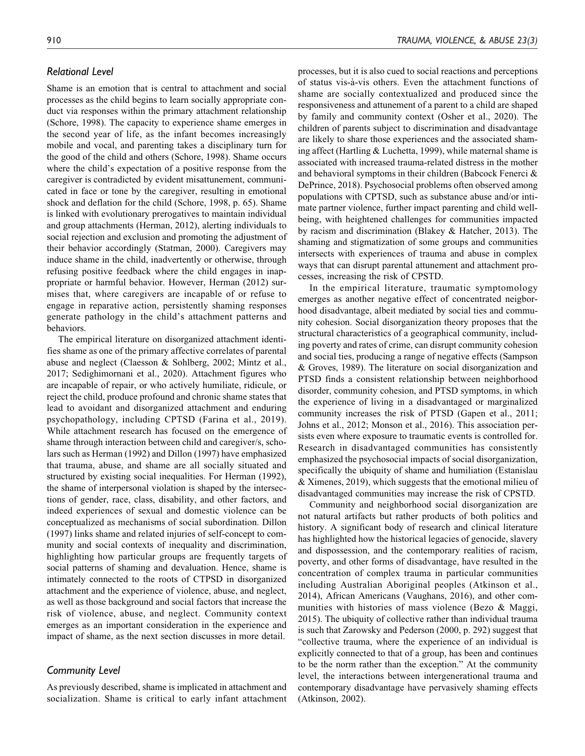# *Relational Level*

Shame is an emotion that is central to attachment and social processes as the child begins to learn socially appropriate conduct via responses within the primary attachment relationship (Schore, 1998). The capacity to experience shame emerges in the second year of life, as the infant becomes increasingly mobile and vocal, and parenting takes a disciplinary turn for the good of the child and others (Schore, 1998). Shame occurs where the child's expectation of a positive response from the caregiver is contradicted by evident misattunement, communicated in face or tone by the caregiver, resulting in emotional shock and deflation for the child (Schore, 1998, p. 65). Shame is linked with evolutionary prerogatives to maintain individual and group attachments (Herman, 2012), alerting individuals to social rejection and exclusion and promoting the adjustment of their behavior accordingly (Statman, 2000). Caregivers may induce shame in the child, inadvertently or otherwise, through refusing positive feedback where the child engages in inappropriate or harmful behavior. However, Herman (2012) surmises that, where caregivers are incapable of or refuse to engage in reparative action, persistently shaming responses generate pathology in the child's attachment patterns and behaviors.

The empirical literature on disorganized attachment identifies shame as one of the primary affective correlates of parental abuse and neglect (Claesson & Sohlberg, 2002; Mintz et al., 2017; Sedighimornani et al., 2020). Attachment figures who are incapable of repair, or who actively humiliate, ridicule, or reject the child, produce profound and chronic shame states that lead to avoidant and disorganized attachment and enduring psychopathology, including CPTSD (Farina et al., 2019). While attachment research has focused on the emergence of shame through interaction between child and caregiver/s, scholars such as Herman (1992) and Dillon (1997) have emphasized that trauma, abuse, and shame are all socially situated and structured by existing social inequalities. For Herman (1992), the shame of interpersonal violation is shaped by the intersections of gender, race, class, disability, and other factors, and indeed experiences of sexual and domestic violence can be conceptualized as mechanisms of social subordination. Dillon (1997) links shame and related injuries of self-concept to community and social contexts of inequality and discrimination, highlighting how particular groups are frequently targets of social patterns of shaming and devaluation. Hence, shame is intimately connected to the roots of CTPSD in disorganized attachment and the experience of violence, abuse, and neglect, as well as those background and social factors that increase the risk of violence, abuse, and neglect. Community context emerges as an important consideration in the experience and impact of shame, as the next section discusses in more detail.

## *Community Level*

As previously described, shame is implicated in attachment and socialization. Shame is critical to early infant attachment processes, but it is also cued to social reactions and perceptions of status vis-à-vis others. Even the attachment functions of shame are socially contextualized and produced since the responsiveness and attunement of a parent to a child are shaped by family and community context (Osher et al., 2020). The children of parents subject to discrimination and disadvantage are likely to share those experiences and the associated shaming affect (Hartling & Luchetta, 1999), while maternal shame is associated with increased trauma-related distress in the mother and behavioral symptoms in their children (Babcock Fenerci & DePrince, 2018). Psychosocial problems often observed among populations with CPTSD, such as substance abuse and/or intimate partner violence, further impact parenting and child wellbeing, with heightened challenges for communities impacted by racism and discrimination (Blakey & Hatcher, 2013). The shaming and stigmatization of some groups and communities intersects with experiences of trauma and abuse in complex ways that can disrupt parental attunement and attachment processes, increasing the risk of CPSTD.

In the empirical literature, traumatic symptomology emerges as another negative effect of concentrated neigborhood disadvantage, albeit mediated by social ties and community cohesion. Social disorganization theory proposes that the structural characteristics of a geographical community, including poverty and rates of crime, can disrupt community cohesion and social ties, producing a range of negative effects (Sampson & Groves, 1989). The literature on social disorganization and PTSD finds a consistent relationship between neighborhood disorder, community cohesion, and PTSD symptoms, in which the experience of living in a disadvantaged or marginalized community increases the risk of PTSD (Gapen et al., 2011; Johns et al., 2012; Monson et al., 2016). This association persists even where exposure to traumatic events is controlled for. Research in disadvantaged communities has consistently emphasized the psychosocial impacts of social disorganization, specifically the ubiquity of shame and humiliation (Estanislau & Ximenes, 2019), which suggests that the emotional milieu of disadvantaged communities may increase the risk of CPSTD.

Community and neighborhood social disorganization are not natural artifacts but rather products of both politics and history. A significant body of research and clinical literature has highlighted how the historical legacies of genocide, slavery and dispossession, and the contemporary realities of racism, poverty, and other forms of disadvantage, have resulted in the concentration of complex trauma in particular communities including Australian Aboriginal peoples (Atkinson et al., 2014), African Americans (Vaughans, 2016), and other communities with histories of mass violence (Bezo & Maggi, 2015). The ubiquity of collective rather than individual trauma is such that Zarowsky and Pederson (2000, p. 292) suggest that "collective trauma, where the experience of an individual is explicitly connected to that of a group, has been and continues to be the norm rather than the exception." At the community level, the interactions between intergenerational trauma and contemporary disadvantage have pervasively shaming effects (Atkinson, 2002).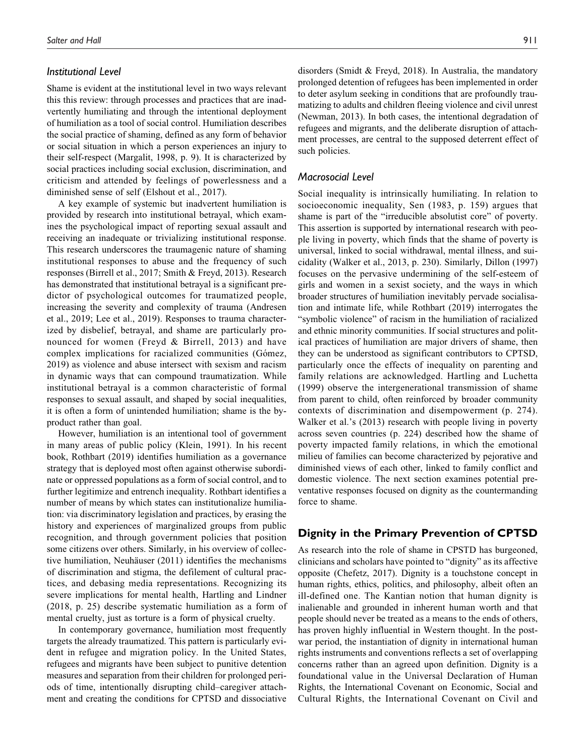## *Institutional Level*

Shame is evident at the institutional level in two ways relevant this this review: through processes and practices that are inadvertently humiliating and through the intentional deployment of humiliation as a tool of social control. Humiliation describes the social practice of shaming, defined as any form of behavior or social situation in which a person experiences an injury to their self-respect (Margalit, 1998, p. 9). It is characterized by social practices including social exclusion, discrimination, and criticism and attended by feelings of powerlessness and a diminished sense of self (Elshout et al., 2017).

A key example of systemic but inadvertent humiliation is provided by research into institutional betrayal, which examines the psychological impact of reporting sexual assault and receiving an inadequate or trivializing institutional response. This research underscores the traumagenic nature of shaming institutional responses to abuse and the frequency of such responses (Birrell et al., 2017; Smith & Freyd, 2013). Research has demonstrated that institutional betrayal is a significant predictor of psychological outcomes for traumatized people, increasing the severity and complexity of trauma (Andresen et al., 2019; Lee et al., 2019). Responses to trauma characterized by disbelief, betrayal, and shame are particularly pronounced for women (Freyd & Birrell, 2013) and have complex implications for racialized communities (Gómez, 2019) as violence and abuse intersect with sexism and racism in dynamic ways that can compound traumatization. While institutional betrayal is a common characteristic of formal responses to sexual assault, and shaped by social inequalities, it is often a form of unintended humiliation; shame is the byproduct rather than goal.

However, humiliation is an intentional tool of government in many areas of public policy (Klein, 1991). In his recent book, Rothbart (2019) identifies humiliation as a governance strategy that is deployed most often against otherwise subordinate or oppressed populations as a form of social control, and to further legitimize and entrench inequality. Rothbart identifies a number of means by which states can institutionalize humiliation: via discriminatory legislation and practices, by erasing the history and experiences of marginalized groups from public recognition, and through government policies that position some citizens over others. Similarly, in his overview of collective humiliation, Neuhäuser (2011) identifies the mechanisms of discrimination and stigma, the defilement of cultural practices, and debasing media representations. Recognizing its severe implications for mental health, Hartling and Lindner (2018, p. 25) describe systematic humiliation as a form of mental cruelty, just as torture is a form of physical cruelty.

In contemporary governance, humiliation most frequently targets the already traumatized. This pattern is particularly evident in refugee and migration policy. In the United States, refugees and migrants have been subject to punitive detention measures and separation from their children for prolonged periods of time, intentionally disrupting child–caregiver attachment and creating the conditions for CPTSD and dissociative disorders (Smidt & Freyd, 2018). In Australia, the mandatory prolonged detention of refugees has been implemented in order to deter asylum seeking in conditions that are profoundly traumatizing to adults and children fleeing violence and civil unrest (Newman, 2013). In both cases, the intentional degradation of refugees and migrants, and the deliberate disruption of attachment processes, are central to the supposed deterrent effect of such policies.

## *Macrosocial Level*

Social inequality is intrinsically humiliating. In relation to socioeconomic inequality, Sen (1983, p. 159) argues that shame is part of the "irreducible absolutist core" of poverty. This assertion is supported by international research with people living in poverty, which finds that the shame of poverty is universal, linked to social withdrawal, mental illness, and suicidality (Walker et al., 2013, p. 230). Similarly, Dillon (1997) focuses on the pervasive undermining of the self-esteem of girls and women in a sexist society, and the ways in which broader structures of humiliation inevitably pervade socialisation and intimate life, while Rothbart (2019) interrogates the "symbolic violence" of racism in the humiliation of racialized and ethnic minority communities. If social structures and political practices of humiliation are major drivers of shame, then they can be understood as significant contributors to CPTSD, particularly once the effects of inequality on parenting and family relations are acknowledged. Hartling and Luchetta (1999) observe the intergenerational transmission of shame from parent to child, often reinforced by broader community contexts of discrimination and disempowerment (p. 274). Walker et al.'s (2013) research with people living in poverty across seven countries (p. 224) described how the shame of poverty impacted family relations, in which the emotional milieu of families can become characterized by pejorative and diminished views of each other, linked to family conflict and domestic violence. The next section examines potential preventative responses focused on dignity as the countermanding force to shame.

## **Dignity in the Primary Prevention of CPTSD**

As research into the role of shame in CPSTD has burgeoned, clinicians and scholars have pointed to "dignity" as its affective opposite (Chefetz, 2017). Dignity is a touchstone concept in human rights, ethics, politics, and philosophy, albeit often an ill-defined one. The Kantian notion that human dignity is inalienable and grounded in inherent human worth and that people should never be treated as a means to the ends of others, has proven highly influential in Western thought. In the postwar period, the instantiation of dignity in international human rights instruments and conventions reflects a set of overlapping concerns rather than an agreed upon definition. Dignity is a foundational value in the Universal Declaration of Human Rights, the International Covenant on Economic, Social and Cultural Rights, the International Covenant on Civil and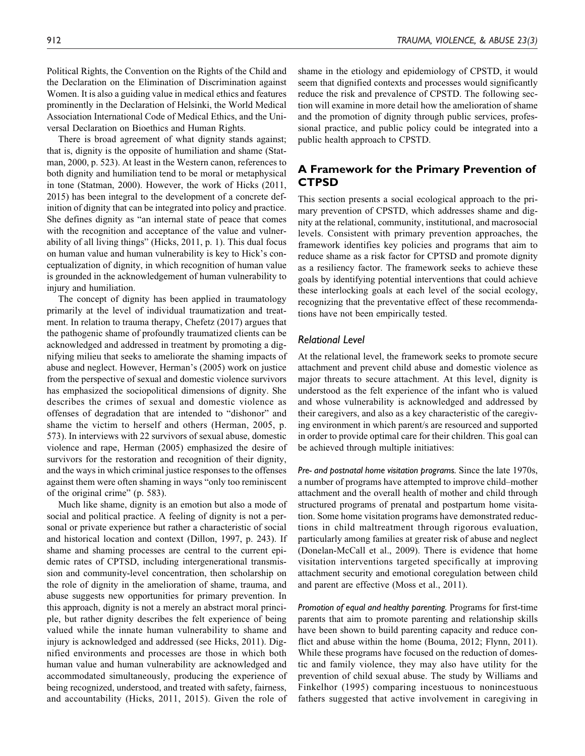Political Rights, the Convention on the Rights of the Child and the Declaration on the Elimination of Discrimination against Women. It is also a guiding value in medical ethics and features prominently in the Declaration of Helsinki, the World Medical Association International Code of Medical Ethics, and the Universal Declaration on Bioethics and Human Rights.

There is broad agreement of what dignity stands against; that is, dignity is the opposite of humiliation and shame (Statman, 2000, p. 523). At least in the Western canon, references to both dignity and humiliation tend to be moral or metaphysical in tone (Statman, 2000). However, the work of Hicks (2011, 2015) has been integral to the development of a concrete definition of dignity that can be integrated into policy and practice. She defines dignity as "an internal state of peace that comes with the recognition and acceptance of the value and vulnerability of all living things" (Hicks, 2011, p. 1). This dual focus on human value and human vulnerability is key to Hick's conceptualization of dignity, in which recognition of human value is grounded in the acknowledgement of human vulnerability to injury and humiliation.

The concept of dignity has been applied in traumatology primarily at the level of individual traumatization and treatment. In relation to trauma therapy, Chefetz (2017) argues that the pathogenic shame of profoundly traumatized clients can be acknowledged and addressed in treatment by promoting a dignifying milieu that seeks to ameliorate the shaming impacts of abuse and neglect. However, Herman's (2005) work on justice from the perspective of sexual and domestic violence survivors has emphasized the sociopolitical dimensions of dignity. She describes the crimes of sexual and domestic violence as offenses of degradation that are intended to "dishonor" and shame the victim to herself and others (Herman, 2005, p. 573). In interviews with 22 survivors of sexual abuse, domestic violence and rape, Herman (2005) emphasized the desire of survivors for the restoration and recognition of their dignity, and the ways in which criminal justice responses to the offenses against them were often shaming in ways "only too reminiscent of the original crime" (p. 583).

Much like shame, dignity is an emotion but also a mode of social and political practice. A feeling of dignity is not a personal or private experience but rather a characteristic of social and historical location and context (Dillon, 1997, p. 243). If shame and shaming processes are central to the current epidemic rates of CPTSD, including intergenerational transmission and community-level concentration, then scholarship on the role of dignity in the amelioration of shame, trauma, and abuse suggests new opportunities for primary prevention. In this approach, dignity is not a merely an abstract moral principle, but rather dignity describes the felt experience of being valued while the innate human vulnerability to shame and injury is acknowledged and addressed (see Hicks, 2011). Dignified environments and processes are those in which both human value and human vulnerability are acknowledged and accommodated simultaneously, producing the experience of being recognized, understood, and treated with safety, fairness, and accountability (Hicks, 2011, 2015). Given the role of shame in the etiology and epidemiology of CPSTD, it would seem that dignified contexts and processes would significantly reduce the risk and prevalence of CPSTD. The following section will examine in more detail how the amelioration of shame and the promotion of dignity through public services, professional practice, and public policy could be integrated into a public health approach to CPSTD.

# **A Framework for the Primary Prevention of CTPSD**

This section presents a social ecological approach to the primary prevention of CPSTD, which addresses shame and dignity at the relational, community, institutional, and macrosocial levels. Consistent with primary prevention approaches, the framework identifies key policies and programs that aim to reduce shame as a risk factor for CPTSD and promote dignity as a resiliency factor. The framework seeks to achieve these goals by identifying potential interventions that could achieve these interlocking goals at each level of the social ecology, recognizing that the preventative effect of these recommendations have not been empirically tested.

## *Relational Level*

At the relational level, the framework seeks to promote secure attachment and prevent child abuse and domestic violence as major threats to secure attachment. At this level, dignity is understood as the felt experience of the infant who is valued and whose vulnerability is acknowledged and addressed by their caregivers, and also as a key characteristic of the caregiving environment in which parent/s are resourced and supported in order to provide optimal care for their children. This goal can be achieved through multiple initiatives:

*Pre- and postnatal home visitation programs.* Since the late 1970s, a number of programs have attempted to improve child–mother attachment and the overall health of mother and child through structured programs of prenatal and postpartum home visitation. Some home visitation programs have demonstrated reductions in child maltreatment through rigorous evaluation, particularly among families at greater risk of abuse and neglect (Donelan-McCall et al., 2009). There is evidence that home visitation interventions targeted specifically at improving attachment security and emotional coregulation between child and parent are effective (Moss et al., 2011).

*Promotion of equal and healthy parenting.* Programs for first-time parents that aim to promote parenting and relationship skills have been shown to build parenting capacity and reduce conflict and abuse within the home (Bouma, 2012; Flynn, 2011). While these programs have focused on the reduction of domestic and family violence, they may also have utility for the prevention of child sexual abuse. The study by Williams and Finkelhor (1995) comparing incestuous to nonincestuous fathers suggested that active involvement in caregiving in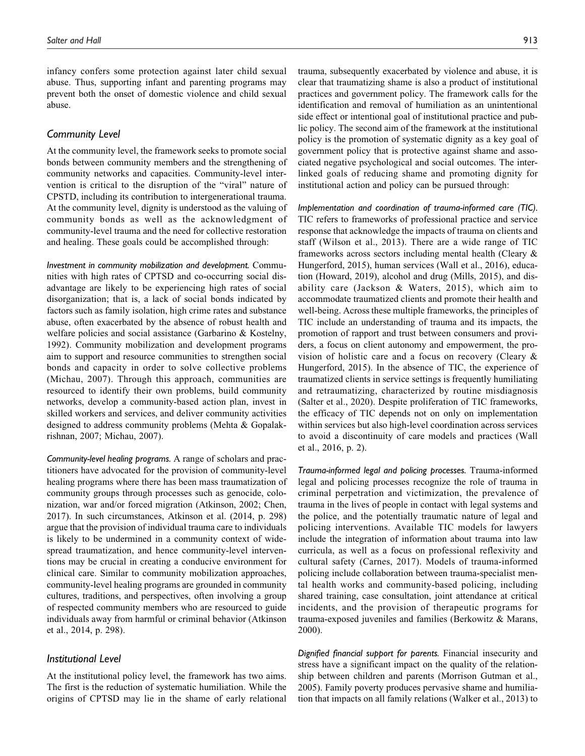infancy confers some protection against later child sexual abuse. Thus, supporting infant and parenting programs may prevent both the onset of domestic violence and child sexual abuse.

## *Community Level*

At the community level, the framework seeks to promote social bonds between community members and the strengthening of community networks and capacities. Community-level intervention is critical to the disruption of the "viral" nature of CPSTD, including its contribution to intergenerational trauma. At the community level, dignity is understood as the valuing of community bonds as well as the acknowledgment of community-level trauma and the need for collective restoration and healing. These goals could be accomplished through:

*Investment in community mobilization and development.* Communities with high rates of CPTSD and co-occurring social disadvantage are likely to be experiencing high rates of social disorganization; that is, a lack of social bonds indicated by factors such as family isolation, high crime rates and substance abuse, often exacerbated by the absence of robust health and welfare policies and social assistance (Garbarino & Kostelny, 1992). Community mobilization and development programs aim to support and resource communities to strengthen social bonds and capacity in order to solve collective problems (Michau, 2007). Through this approach, communities are resourced to identify their own problems, build community networks, develop a community-based action plan, invest in skilled workers and services, and deliver community activities designed to address community problems (Mehta & Gopalakrishnan, 2007; Michau, 2007).

*Community-level healing programs.* A range of scholars and practitioners have advocated for the provision of community-level healing programs where there has been mass traumatization of community groups through processes such as genocide, colonization, war and/or forced migration (Atkinson, 2002; Chen, 2017). In such circumstances, Atkinson et al. (2014, p. 298) argue that the provision of individual trauma care to individuals is likely to be undermined in a community context of widespread traumatization, and hence community-level interventions may be crucial in creating a conducive environment for clinical care. Similar to community mobilization approaches, community-level healing programs are grounded in community cultures, traditions, and perspectives, often involving a group of respected community members who are resourced to guide individuals away from harmful or criminal behavior (Atkinson et al., 2014, p. 298).

#### *Institutional Level*

At the institutional policy level, the framework has two aims. The first is the reduction of systematic humiliation. While the origins of CPTSD may lie in the shame of early relational trauma, subsequently exacerbated by violence and abuse, it is clear that traumatizing shame is also a product of institutional practices and government policy. The framework calls for the identification and removal of humiliation as an unintentional side effect or intentional goal of institutional practice and public policy. The second aim of the framework at the institutional policy is the promotion of systematic dignity as a key goal of government policy that is protective against shame and associated negative psychological and social outcomes. The interlinked goals of reducing shame and promoting dignity for institutional action and policy can be pursued through:

*Implementation and coordination of trauma-informed care (TIC).* TIC refers to frameworks of professional practice and service response that acknowledge the impacts of trauma on clients and staff (Wilson et al., 2013). There are a wide range of TIC frameworks across sectors including mental health (Cleary & Hungerford, 2015), human services (Wall et al., 2016), education (Howard, 2019), alcohol and drug (Mills, 2015), and disability care (Jackson & Waters, 2015), which aim to accommodate traumatized clients and promote their health and well-being. Across these multiple frameworks, the principles of TIC include an understanding of trauma and its impacts, the promotion of rapport and trust between consumers and providers, a focus on client autonomy and empowerment, the provision of holistic care and a focus on recovery (Cleary & Hungerford, 2015). In the absence of TIC, the experience of traumatized clients in service settings is frequently humiliating and retraumatizing, characterized by routine misdiagnosis (Salter et al., 2020). Despite proliferation of TIC frameworks, the efficacy of TIC depends not on only on implementation within services but also high-level coordination across services to avoid a discontinuity of care models and practices (Wall et al., 2016, p. 2).

*Trauma-informed legal and policing processes.* Trauma-informed legal and policing processes recognize the role of trauma in criminal perpetration and victimization, the prevalence of trauma in the lives of people in contact with legal systems and the police, and the potentially traumatic nature of legal and policing interventions. Available TIC models for lawyers include the integration of information about trauma into law curricula, as well as a focus on professional reflexivity and cultural safety (Carnes, 2017). Models of trauma-informed policing include collaboration between trauma-specialist mental health works and community-based policing, including shared training, case consultation, joint attendance at critical incidents, and the provision of therapeutic programs for trauma-exposed juveniles and families (Berkowitz & Marans, 2000).

*Dignified financial support for parents.* Financial insecurity and stress have a significant impact on the quality of the relationship between children and parents (Morrison Gutman et al., 2005). Family poverty produces pervasive shame and humiliation that impacts on all family relations (Walker et al., 2013) to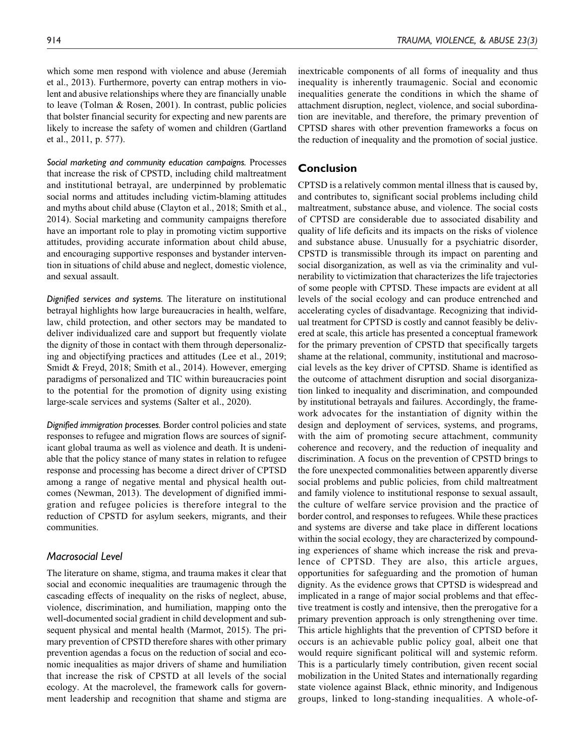which some men respond with violence and abuse (Jeremiah et al., 2013). Furthermore, poverty can entrap mothers in violent and abusive relationships where they are financially unable to leave (Tolman & Rosen, 2001). In contrast, public policies that bolster financial security for expecting and new parents are likely to increase the safety of women and children (Gartland et al., 2011, p. 577).

*Social marketing and community education campaigns.* Processes that increase the risk of CPSTD, including child maltreatment and institutional betrayal, are underpinned by problematic social norms and attitudes including victim-blaming attitudes and myths about child abuse (Clayton et al., 2018; Smith et al., 2014). Social marketing and community campaigns therefore have an important role to play in promoting victim supportive attitudes, providing accurate information about child abuse, and encouraging supportive responses and bystander intervention in situations of child abuse and neglect, domestic violence, and sexual assault.

*Dignified services and systems.* The literature on institutional betrayal highlights how large bureaucracies in health, welfare, law, child protection, and other sectors may be mandated to deliver individualized care and support but frequently violate the dignity of those in contact with them through depersonalizing and objectifying practices and attitudes (Lee et al., 2019; Smidt & Freyd, 2018; Smith et al., 2014). However, emerging paradigms of personalized and TIC within bureaucracies point to the potential for the promotion of dignity using existing large-scale services and systems (Salter et al., 2020).

*Dignified immigration processes.* Border control policies and state responses to refugee and migration flows are sources of significant global trauma as well as violence and death. It is undeniable that the policy stance of many states in relation to refugee response and processing has become a direct driver of CPTSD among a range of negative mental and physical health outcomes (Newman, 2013). The development of dignified immigration and refugee policies is therefore integral to the reduction of CPSTD for asylum seekers, migrants, and their communities.

## *Macrosocial Level*

The literature on shame, stigma, and trauma makes it clear that social and economic inequalities are traumagenic through the cascading effects of inequality on the risks of neglect, abuse, violence, discrimination, and humiliation, mapping onto the well-documented social gradient in child development and subsequent physical and mental health (Marmot, 2015). The primary prevention of CPSTD therefore shares with other primary prevention agendas a focus on the reduction of social and economic inequalities as major drivers of shame and humiliation that increase the risk of CPSTD at all levels of the social ecology. At the macrolevel, the framework calls for government leadership and recognition that shame and stigma are inextricable components of all forms of inequality and thus inequality is inherently traumagenic. Social and economic inequalities generate the conditions in which the shame of attachment disruption, neglect, violence, and social subordination are inevitable, and therefore, the primary prevention of CPTSD shares with other prevention frameworks a focus on the reduction of inequality and the promotion of social justice.

# **Conclusion**

CPTSD is a relatively common mental illness that is caused by, and contributes to, significant social problems including child maltreatment, substance abuse, and violence. The social costs of CPTSD are considerable due to associated disability and quality of life deficits and its impacts on the risks of violence and substance abuse. Unusually for a psychiatric disorder, CPSTD is transmissible through its impact on parenting and social disorganization, as well as via the criminality and vulnerability to victimization that characterizes the life trajectories of some people with CPTSD. These impacts are evident at all levels of the social ecology and can produce entrenched and accelerating cycles of disadvantage. Recognizing that individual treatment for CPTSD is costly and cannot feasibly be delivered at scale, this article has presented a conceptual framework for the primary prevention of CPSTD that specifically targets shame at the relational, community, institutional and macrosocial levels as the key driver of CPTSD. Shame is identified as the outcome of attachment disruption and social disorganization linked to inequality and discrimination, and compounded by institutional betrayals and failures. Accordingly, the framework advocates for the instantiation of dignity within the design and deployment of services, systems, and programs, with the aim of promoting secure attachment, community coherence and recovery, and the reduction of inequality and discrimination. A focus on the prevention of CPSTD brings to the fore unexpected commonalities between apparently diverse social problems and public policies, from child maltreatment and family violence to institutional response to sexual assault, the culture of welfare service provision and the practice of border control, and responses to refugees. While these practices and systems are diverse and take place in different locations within the social ecology, they are characterized by compounding experiences of shame which increase the risk and prevalence of CPTSD. They are also, this article argues, opportunities for safeguarding and the promotion of human dignity. As the evidence grows that CPTSD is widespread and implicated in a range of major social problems and that effective treatment is costly and intensive, then the prerogative for a primary prevention approach is only strengthening over time. This article highlights that the prevention of CPTSD before it occurs is an achievable public policy goal, albeit one that would require significant political will and systemic reform. This is a particularly timely contribution, given recent social mobilization in the United States and internationally regarding state violence against Black, ethnic minority, and Indigenous groups, linked to long-standing inequalities. A whole-of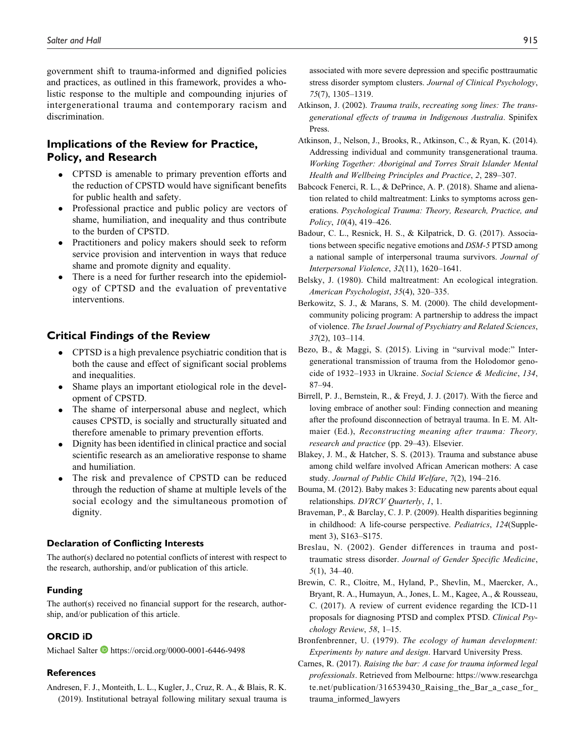government shift to trauma-informed and dignified policies and practices, as outlined in this framework, provides a wholistic response to the multiple and compounding injuries of intergenerational trauma and contemporary racism and discrimination.

# **Implications of the Review for Practice, Policy, and Research**

- CPTSD is amenable to primary prevention efforts and the reduction of CPSTD would have significant benefits for public health and safety.
- Professional practice and public policy are vectors of shame, humiliation, and inequality and thus contribute to the burden of CPSTD.
- Practitioners and policy makers should seek to reform service provision and intervention in ways that reduce shame and promote dignity and equality.
- There is a need for further research into the epidemiology of CPTSD and the evaluation of preventative interventions.

# **Critical Findings of the Review**

- CPTSD is a high prevalence psychiatric condition that is both the cause and effect of significant social problems and inequalities.
- Shame plays an important etiological role in the development of CPSTD.
- The shame of interpersonal abuse and neglect, which causes CPSTD, is socially and structurally situated and therefore amenable to primary prevention efforts.
- Dignity has been identified in clinical practice and social scientific research as an ameliorative response to shame and humiliation.
- The risk and prevalence of CPSTD can be reduced through the reduction of shame at multiple levels of the social ecology and the simultaneous promotion of dignity.

#### **Declaration of Conflicting Interests**

The author(s) declared no potential conflicts of interest with respect to the research, authorship, and/or publication of this article.

#### **Funding**

The author(s) received no financial support for the research, authorship, and/or publication of this article.

## **ORCID iD**

Michael Salter D https://orcid.org/0000-0001-6446-9498

#### **References**

Andresen, F. J., Monteith, L. L., Kugler, J., Cruz, R. A., & Blais, R. K. (2019). Institutional betrayal following military sexual trauma is associated with more severe depression and specific posttraumatic stress disorder symptom clusters. Journal of Clinical Psychology, 75(7), 1305–1319.

- Atkinson, J. (2002). Trauma trails, recreating song lines: The transgenerational effects of trauma in Indigenous Australia. Spinifex Press.
- Atkinson, J., Nelson, J., Brooks, R., Atkinson, C., & Ryan, K. (2014). Addressing individual and community transgenerational trauma. Working Together: Aboriginal and Torres Strait Islander Mental Health and Wellbeing Principles and Practice, 2, 289–307.
- Babcock Fenerci, R. L., & DePrince, A. P. (2018). Shame and alienation related to child maltreatment: Links to symptoms across generations. Psychological Trauma: Theory, Research, Practice, and Policy, 10(4), 419–426.
- Badour, C. L., Resnick, H. S., & Kilpatrick, D. G. (2017). Associations between specific negative emotions and DSM-5 PTSD among a national sample of interpersonal trauma survivors. Journal of Interpersonal Violence, 32(11), 1620–1641.
- Belsky, J. (1980). Child maltreatment: An ecological integration. American Psychologist, 35(4), 320–335.
- Berkowitz, S. J., & Marans, S. M. (2000). The child developmentcommunity policing program: A partnership to address the impact of violence. The Israel Journal of Psychiatry and Related Sciences, 37(2), 103–114.
- Bezo, B., & Maggi, S. (2015). Living in "survival mode:" Intergenerational transmission of trauma from the Holodomor genocide of 1932–1933 in Ukraine. Social Science & Medicine, 134, 87–94.
- Birrell, P. J., Bernstein, R., & Freyd, J. J. (2017). With the fierce and loving embrace of another soul: Finding connection and meaning after the profound disconnection of betrayal trauma. In E. M. Altmaier (Ed.), Reconstructing meaning after trauma: Theory, research and practice (pp. 29–43). Elsevier.
- Blakey, J. M., & Hatcher, S. S. (2013). Trauma and substance abuse among child welfare involved African American mothers: A case study. Journal of Public Child Welfare, 7(2), 194–216.
- Bouma, M. (2012). Baby makes 3: Educating new parents about equal relationships. DVRCV Quarterly, 1, 1.
- Braveman, P., & Barclay, C. J. P. (2009). Health disparities beginning in childhood: A life-course perspective. Pediatrics, 124(Supplement 3), S163–S175.
- Breslau, N. (2002). Gender differences in trauma and posttraumatic stress disorder. Journal of Gender Specific Medicine,  $5(1)$ , 34–40.
- Brewin, C. R., Cloitre, M., Hyland, P., Shevlin, M., Maercker, A., Bryant, R. A., Humayun, A., Jones, L. M., Kagee, A., & Rousseau, C. (2017). A review of current evidence regarding the ICD-11 proposals for diagnosing PTSD and complex PTSD. Clinical Psychology Review, 58, 1–15.
- Bronfenbrenner, U. (1979). The ecology of human development: Experiments by nature and design. Harvard University Press.
- Carnes, R. (2017). Raising the bar: A case for trauma informed legal professionals. Retrieved from Melbourne: https://www.researchga te.net/publication/316539430\_Raising\_the\_Bar\_a\_case\_for\_ trauma\_informed\_lawyers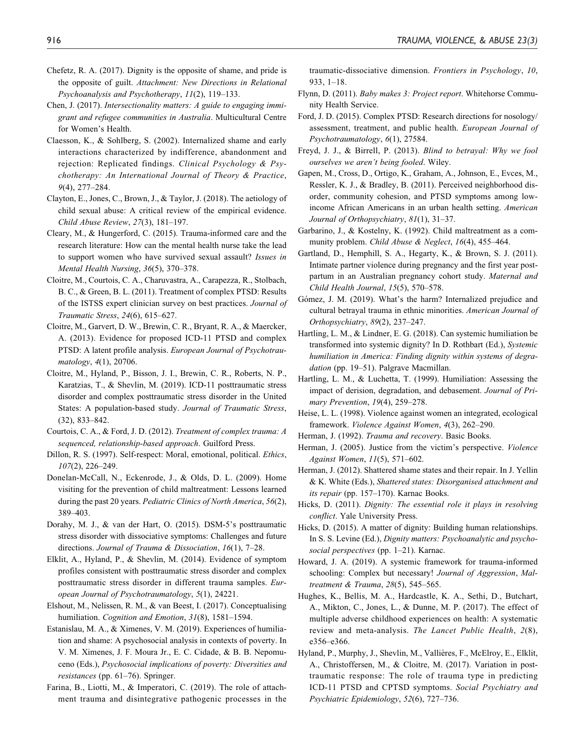- Chefetz, R. A. (2017). Dignity is the opposite of shame, and pride is the opposite of guilt. Attachment: New Directions in Relational Psychoanalysis and Psychotherapy, 11(2), 119–133.
- Chen, J. (2017). Intersectionality matters: A guide to engaging immigrant and refugee communities in Australia. Multicultural Centre for Women's Health.
- Claesson, K., & Sohlberg, S. (2002). Internalized shame and early interactions characterized by indifference, abandonment and rejection: Replicated findings. Clinical Psychology & Psychotherapy: An International Journal of Theory & Practice, 9(4), 277–284.
- Clayton, E., Jones, C., Brown, J., & Taylor, J. (2018). The aetiology of child sexual abuse: A critical review of the empirical evidence. Child Abuse Review, 27(3), 181–197.
- Cleary, M., & Hungerford, C. (2015). Trauma-informed care and the research literature: How can the mental health nurse take the lead to support women who have survived sexual assault? Issues in Mental Health Nursing, 36(5), 370–378.
- Cloitre, M., Courtois, C. A., Charuvastra, A., Carapezza, R., Stolbach, B. C., & Green, B. L. (2011). Treatment of complex PTSD: Results of the ISTSS expert clinician survey on best practices. Journal of Traumatic Stress, 24(6), 615–627.
- Cloitre, M., Garvert, D. W., Brewin, C. R., Bryant, R. A., & Maercker, A. (2013). Evidence for proposed ICD-11 PTSD and complex PTSD: A latent profile analysis. European Journal of Psychotraumatology, 4(1), 20706.
- Cloitre, M., Hyland, P., Bisson, J. I., Brewin, C. R., Roberts, N. P., Karatzias, T., & Shevlin, M. (2019). ICD-11 posttraumatic stress disorder and complex posttraumatic stress disorder in the United States: A population-based study. Journal of Traumatic Stress, (32), 833–842.
- Courtois, C. A., & Ford, J. D. (2012). Treatment of complex trauma: A sequenced, relationship-based approach. Guilford Press.
- Dillon, R. S. (1997). Self-respect: Moral, emotional, political. Ethics, 107(2), 226–249.
- Donelan-McCall, N., Eckenrode, J., & Olds, D. L. (2009). Home visiting for the prevention of child maltreatment: Lessons learned during the past 20 years. *Pediatric Clinics of North America*, 56(2), 389–403.
- Dorahy, M. J., & van der Hart, O. (2015). DSM-5's posttraumatic stress disorder with dissociative symptoms: Challenges and future directions. Journal of Trauma & Dissociation, 16(1), 7–28.
- Elklit, A., Hyland, P., & Shevlin, M. (2014). Evidence of symptom profiles consistent with posttraumatic stress disorder and complex posttraumatic stress disorder in different trauma samples. European Journal of Psychotraumatology, 5(1), 24221.
- Elshout, M., Nelissen, R. M., & van Beest, I. (2017). Conceptualising humiliation. *Cognition and Emotion*, 31(8), 1581–1594.
- Estanislau, M. A., & Ximenes, V. M. (2019). Experiences of humiliation and shame: A psychosocial analysis in contexts of poverty. In V. M. Ximenes, J. F. Moura Jr., E. C. Cidade, & B. B. Nepomuceno (Eds.), Psychosocial implications of poverty: Diversities and resistances (pp. 61–76). Springer.
- Farina, B., Liotti, M., & Imperatori, C. (2019). The role of attachment trauma and disintegrative pathogenic processes in the

traumatic-dissociative dimension. Frontiers in Psychology, 10, 933, 1–18.

- Flynn, D. (2011). Baby makes 3: Project report. Whitehorse Community Health Service.
- Ford, J. D. (2015). Complex PTSD: Research directions for nosology/ assessment, treatment, and public health. European Journal of Psychotraumatology, 6(1), 27584.
- Freyd, J. J., & Birrell, P. (2013). Blind to betrayal: Why we fool ourselves we aren't being fooled. Wiley.
- Gapen, M., Cross, D., Ortigo, K., Graham, A., Johnson, E., Evces, M., Ressler, K. J., & Bradley, B. (2011). Perceived neighborhood disorder, community cohesion, and PTSD symptoms among lowincome African Americans in an urban health setting. American Journal of Orthopsychiatry, 81(1), 31–37.
- Garbarino, J., & Kostelny, K. (1992). Child maltreatment as a community problem. Child Abuse & Neglect, 16(4), 455–464.
- Gartland, D., Hemphill, S. A., Hegarty, K., & Brown, S. J. (2011). Intimate partner violence during pregnancy and the first year postpartum in an Australian pregnancy cohort study. Maternal and Child Health Journal, 15(5), 570–578.
- Gómez, J. M. (2019). What's the harm? Internalized prejudice and cultural betrayal trauma in ethnic minorities. American Journal of Orthopsychiatry, 89(2), 237–247.
- Hartling, L. M., & Lindner, E. G. (2018). Can systemic humiliation be transformed into systemic dignity? In D. Rothbart (Ed.), Systemic humiliation in America: Finding dignity within systems of degradation (pp. 19–51). Palgrave Macmillan.
- Hartling, L. M., & Luchetta, T. (1999). Humiliation: Assessing the impact of derision, degradation, and debasement. Journal of Primary Prevention, 19(4), 259–278.
- Heise, L. L. (1998). Violence against women an integrated, ecological framework. Violence Against Women, 4(3), 262–290.
- Herman, J. (1992). Trauma and recovery. Basic Books.
- Herman, J. (2005). Justice from the victim's perspective. Violence Against Women, 11(5), 571–602.
- Herman, J. (2012). Shattered shame states and their repair. In J. Yellin & K. White (Eds.), Shattered states: Disorganised attachment and its repair (pp. 157–170). Karnac Books.
- Hicks, D. (2011). Dignity: The essential role it plays in resolving conflict. Yale University Press.
- Hicks, D. (2015). A matter of dignity: Building human relationships. In S. S. Levine (Ed.), Dignity matters: Psychoanalytic and psychosocial perspectives (pp. 1–21). Karnac.
- Howard, J. A. (2019). A systemic framework for trauma-informed schooling: Complex but necessary! Journal of Aggression, Maltreatment & Trauma, 28(5), 545–565.
- Hughes, K., Bellis, M. A., Hardcastle, K. A., Sethi, D., Butchart, A., Mikton, C., Jones, L., & Dunne, M. P. (2017). The effect of multiple adverse childhood experiences on health: A systematic review and meta-analysis. The Lancet Public Health, 2(8), e356–e366.
- Hyland, P., Murphy, J., Shevlin, M., Vallières, F., McElroy, E., Elklit, A., Christoffersen, M., & Cloitre, M. (2017). Variation in posttraumatic response: The role of trauma type in predicting ICD-11 PTSD and CPTSD symptoms. Social Psychiatry and Psychiatric Epidemiology, 52(6), 727–736.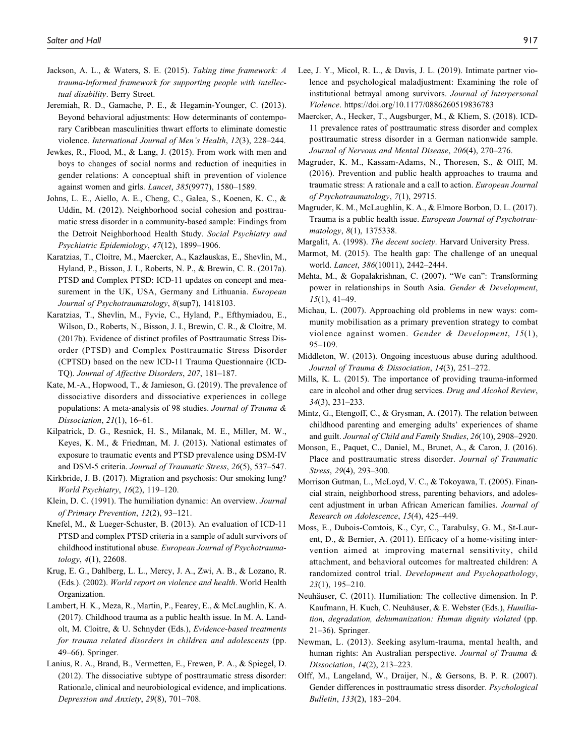- Jackson, A. L., & Waters, S. E. (2015). Taking time framework: A trauma-informed framework for supporting people with intellectual disability. Berry Street.
- Jeremiah, R. D., Gamache, P. E., & Hegamin-Younger, C. (2013). Beyond behavioral adjustments: How determinants of contemporary Caribbean masculinities thwart efforts to eliminate domestic violence. International Journal of Men's Health, 12(3), 228–244.
- Jewkes, R., Flood, M., & Lang, J. (2015). From work with men and boys to changes of social norms and reduction of inequities in gender relations: A conceptual shift in prevention of violence against women and girls. Lancet, 385(9977), 1580–1589.
- Johns, L. E., Aiello, A. E., Cheng, C., Galea, S., Koenen, K. C., & Uddin, M. (2012). Neighborhood social cohesion and posttraumatic stress disorder in a community-based sample: Findings from the Detroit Neighborhood Health Study. Social Psychiatry and Psychiatric Epidemiology, 47(12), 1899–1906.
- Karatzias, T., Cloitre, M., Maercker, A., Kazlauskas, E., Shevlin, M., Hyland, P., Bisson, J. I., Roberts, N. P., & Brewin, C. R. (2017a). PTSD and Complex PTSD: ICD-11 updates on concept and measurement in the UK, USA, Germany and Lithuania. European Journal of Psychotraumatology, 8(sup7), 1418103.
- Karatzias, T., Shevlin, M., Fyvie, C., Hyland, P., Efthymiadou, E., Wilson, D., Roberts, N., Bisson, J. I., Brewin, C. R., & Cloitre, M. (2017b). Evidence of distinct profiles of Posttraumatic Stress Disorder (PTSD) and Complex Posttraumatic Stress Disorder (CPTSD) based on the new ICD-11 Trauma Questionnaire (ICD-TQ). Journal of Affective Disorders, 207, 181–187.
- Kate, M.-A., Hopwood, T., & Jamieson, G. (2019). The prevalence of dissociative disorders and dissociative experiences in college populations: A meta-analysis of 98 studies. Journal of Trauma & Dissociation, 21(1), 16–61.
- Kilpatrick, D. G., Resnick, H. S., Milanak, M. E., Miller, M. W., Keyes, K. M., & Friedman, M. J. (2013). National estimates of exposure to traumatic events and PTSD prevalence using DSM-IV and DSM-5 criteria. Journal of Traumatic Stress, 26(5), 537–547.
- Kirkbride, J. B. (2017). Migration and psychosis: Our smoking lung? World Psychiatry, 16(2), 119–120.
- Klein, D. C. (1991). The humiliation dynamic: An overview. Journal of Primary Prevention, 12(2), 93–121.
- Knefel, M., & Lueger-Schuster, B. (2013). An evaluation of ICD-11 PTSD and complex PTSD criteria in a sample of adult survivors of childhood institutional abuse. European Journal of Psychotraumatology, 4(1), 22608.
- Krug, E. G., Dahlberg, L. L., Mercy, J. A., Zwi, A. B., & Lozano, R. (Eds.). (2002). World report on violence and health. World Health Organization.
- Lambert, H. K., Meza, R., Martin, P., Fearey, E., & McLaughlin, K. A. (2017). Childhood trauma as a public health issue. In M. A. Landolt, M. Cloitre, & U. Schnyder (Eds.), Evidence-based treatments for trauma related disorders in children and adolescents (pp. 49–66). Springer.
- Lanius, R. A., Brand, B., Vermetten, E., Frewen, P. A., & Spiegel, D. (2012). The dissociative subtype of posttraumatic stress disorder: Rationale, clinical and neurobiological evidence, and implications. Depression and Anxiety, 29(8), 701–708.
- Lee, J. Y., Micol, R. L., & Davis, J. L. (2019). Intimate partner violence and psychological maladjustment: Examining the role of institutional betrayal among survivors. Journal of Interpersonal Violence. https://doi.org/10.1177/0886260519836783
- Maercker, A., Hecker, T., Augsburger, M., & Kliem, S. (2018). ICD-11 prevalence rates of posttraumatic stress disorder and complex posttraumatic stress disorder in a German nationwide sample. Journal of Nervous and Mental Disease, 206(4), 270–276.
- Magruder, K. M., Kassam-Adams, N., Thoresen, S., & Olff, M. (2016). Prevention and public health approaches to trauma and traumatic stress: A rationale and a call to action. European Journal of Psychotraumatology, 7(1), 29715.
- Magruder, K. M., McLaughlin, K. A., & Elmore Borbon, D. L. (2017). Trauma is a public health issue. European Journal of Psychotraumatology, 8(1), 1375338.
- Margalit, A. (1998). The decent society. Harvard University Press.
- Marmot, M. (2015). The health gap: The challenge of an unequal world. Lancet, 386(10011), 2442–2444.
- Mehta, M., & Gopalakrishnan, C. (2007). "We can": Transforming power in relationships in South Asia. Gender & Development, 15(1), 41–49.
- Michau, L. (2007). Approaching old problems in new ways: community mobilisation as a primary prevention strategy to combat violence against women. Gender & Development, 15(1), 95–109.
- Middleton, W. (2013). Ongoing incestuous abuse during adulthood. Journal of Trauma & Dissociation, 14(3), 251–272.
- Mills, K. L. (2015). The importance of providing trauma-informed care in alcohol and other drug services. Drug and Alcohol Review, 34(3), 231–233.
- Mintz, G., Etengoff, C., & Grysman, A. (2017). The relation between childhood parenting and emerging adults' experiences of shame and guilt. Journal of Child and Family Studies, 26(10), 2908–2920.
- Monson, E., Paquet, C., Daniel, M., Brunet, A., & Caron, J. (2016). Place and posttraumatic stress disorder. Journal of Traumatic Stress, 29(4), 293-300.
- Morrison Gutman, L., McLoyd, V. C., & Tokoyawa, T. (2005). Financial strain, neighborhood stress, parenting behaviors, and adolescent adjustment in urban African American families. Journal of Research on Adolescence, 15(4), 425–449.
- Moss, E., Dubois-Comtois, K., Cyr, C., Tarabulsy, G. M., St-Laurent, D., & Bernier, A. (2011). Efficacy of a home-visiting intervention aimed at improving maternal sensitivity, child attachment, and behavioral outcomes for maltreated children: A randomized control trial. Development and Psychopathology, 23(1), 195–210.
- Neuhäuser, C. (2011). Humiliation: The collective dimension. In P. Kaufmann, H. Kuch, C. Neuhäuser, & E. Webster (Eds.), Humiliation, degradation, dehumanization: Human dignity violated (pp. 21–36). Springer.
- Newman, L. (2013). Seeking asylum-trauma, mental health, and human rights: An Australian perspective. Journal of Trauma & Dissociation, 14(2), 213–223.
- Olff, M., Langeland, W., Draijer, N., & Gersons, B. P. R. (2007). Gender differences in posttraumatic stress disorder. Psychological Bulletin, 133(2), 183–204.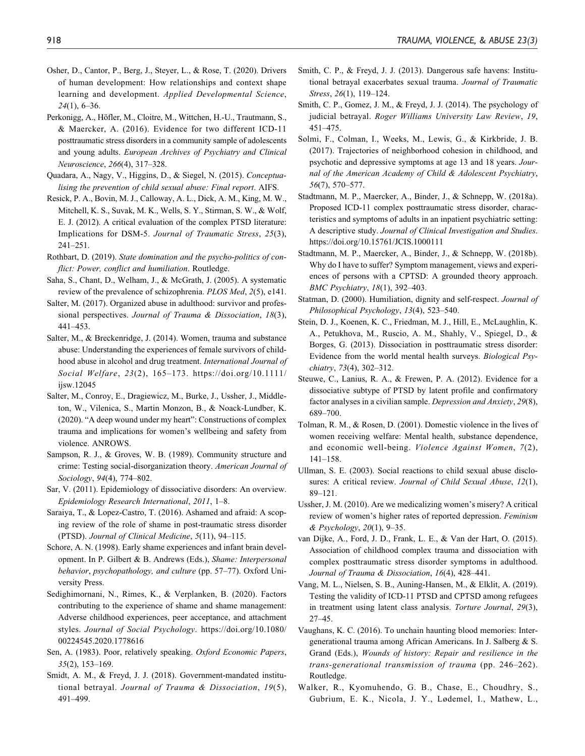- Osher, D., Cantor, P., Berg, J., Steyer, L., & Rose, T. (2020). Drivers of human development: How relationships and context shape learning and development. Applied Developmental Science, 24(1), 6–36.
- Perkonigg, A., Höfler, M., Cloitre, M., Wittchen, H.-U., Trautmann, S., & Maercker, A. (2016). Evidence for two different ICD-11 posttraumatic stress disorders in a community sample of adolescents and young adults. European Archives of Psychiatry and Clinical Neuroscience, 266(4), 317–328.
- Quadara, A., Nagy, V., Higgins, D., & Siegel, N. (2015). Conceptualising the prevention of child sexual abuse: Final report. AIFS.
- Resick, P. A., Bovin, M. J., Calloway, A. L., Dick, A. M., King, M. W., Mitchell, K. S., Suvak, M. K., Wells, S. Y., Stirman, S. W., & Wolf, E. J. (2012). A critical evaluation of the complex PTSD literature: Implications for DSM-5. Journal of Traumatic Stress, 25(3), 241–251.
- Rothbart, D. (2019). State domination and the psycho-politics of conflict: Power, conflict and humiliation. Routledge.
- Saha, S., Chant, D., Welham, J., & McGrath, J. (2005). A systematic review of the prevalence of schizophrenia. PLOS Med, 2(5), e141.
- Salter, M. (2017). Organized abuse in adulthood: survivor and professional perspectives. Journal of Trauma & Dissociation, 18(3), 441–453.
- Salter, M., & Breckenridge, J. (2014). Women, trauma and substance abuse: Understanding the experiences of female survivors of childhood abuse in alcohol and drug treatment. International Journal of Social Welfare, 23(2), 165–173. https://doi.org/10.1111/ ijsw.12045
- Salter, M., Conroy, E., Dragiewicz, M., Burke, J., Ussher, J., Middleton, W., Vilenica, S., Martin Monzon, B., & Noack-Lundber, K. (2020). "A deep wound under my heart": Constructions of complex trauma and implications for women's wellbeing and safety from violence. ANROWS.
- Sampson, R. J., & Groves, W. B. (1989). Community structure and crime: Testing social-disorganization theory. American Journal of Sociology, 94(4), 774–802.
- Sar, V. (2011). Epidemiology of dissociative disorders: An overview. Epidemiology Research International, 2011, 1–8.
- Saraiya, T., & Lopez-Castro, T. (2016). Ashamed and afraid: A scoping review of the role of shame in post-traumatic stress disorder (PTSD). Journal of Clinical Medicine, 5(11), 94–115.
- Schore, A. N. (1998). Early shame experiences and infant brain development. In P. Gilbert & B. Andrews (Eds.), Shame: Interpersonal behavior, psychopathology, and culture (pp. 57–77). Oxford University Press.
- Sedighimornani, N., Rimes, K., & Verplanken, B. (2020). Factors contributing to the experience of shame and shame management: Adverse childhood experiences, peer acceptance, and attachment styles. Journal of Social Psychology. https://doi.org/10.1080/ 00224545.2020.1778616
- Sen, A. (1983). Poor, relatively speaking. Oxford Economic Papers, 35(2), 153–169.
- Smidt, A. M., & Freyd, J. J. (2018). Government-mandated institutional betrayal. Journal of Trauma & Dissociation, 19(5), 491–499.
- Smith, C. P., & Freyd, J. J. (2013). Dangerous safe havens: Institutional betrayal exacerbates sexual trauma. Journal of Traumatic Stress, 26(1), 119–124.
- Smith, C. P., Gomez, J. M., & Freyd, J. J. (2014). The psychology of judicial betrayal. Roger Williams University Law Review, 19, 451–475.
- Solmi, F., Colman, I., Weeks, M., Lewis, G., & Kirkbride, J. B. (2017). Trajectories of neighborhood cohesion in childhood, and psychotic and depressive symptoms at age 13 and 18 years. Journal of the American Academy of Child & Adolescent Psychiatry, 56(7), 570–577.
- Stadtmann, M. P., Maercker, A., Binder, J., & Schnepp, W. (2018a). Proposed ICD-11 complex posttraumatic stress disorder, characteristics and symptoms of adults in an inpatient psychiatric setting: A descriptive study. Journal of Clinical Investigation and Studies. https://doi.org/10.15761/JCIS.1000111
- Stadtmann, M. P., Maercker, A., Binder, J., & Schnepp, W. (2018b). Why do I have to suffer? Symptom management, views and experiences of persons with a CPTSD: A grounded theory approach. BMC Psychiatry, 18(1), 392–403.
- Statman, D. (2000). Humiliation, dignity and self-respect. Journal of Philosophical Psychology, 13(4), 523–540.
- Stein, D. J., Koenen, K. C., Friedman, M. J., Hill, E., McLaughlin, K. A., Petukhova, M., Ruscio, A. M., Shahly, V., Spiegel, D., & Borges, G. (2013). Dissociation in posttraumatic stress disorder: Evidence from the world mental health surveys. Biological Psychiatry, 73(4), 302–312.
- Steuwe, C., Lanius, R. A., & Frewen, P. A. (2012). Evidence for a dissociative subtype of PTSD by latent profile and confirmatory factor analyses in a civilian sample. Depression and Anxiety, 29(8), 689–700.
- Tolman, R. M., & Rosen, D. (2001). Domestic violence in the lives of women receiving welfare: Mental health, substance dependence, and economic well-being. Violence Against Women, 7(2), 141–158.
- Ullman, S. E. (2003). Social reactions to child sexual abuse disclosures: A critical review. Journal of Child Sexual Abuse, 12(1), 89–121.
- Ussher, J. M. (2010). Are we medicalizing women's misery? A critical review of women's higher rates of reported depression. Feminism & Psychology, 20(1), 9–35.
- van Dijke, A., Ford, J. D., Frank, L. E., & Van der Hart, O. (2015). Association of childhood complex trauma and dissociation with complex posttraumatic stress disorder symptoms in adulthood. Journal of Trauma & Dissociation, 16(4), 428–441.
- Vang, M. L., Nielsen, S. B., Auning-Hansen, M., & Elklit, A. (2019). Testing the validity of ICD-11 PTSD and CPTSD among refugees in treatment using latent class analysis. Torture Journal, 29(3), 27–45.
- Vaughans, K. C. (2016). To unchain haunting blood memories: Intergenerational trauma among African Americans. In J. Salberg & S. Grand (Eds.), Wounds of history: Repair and resilience in the trans-generational transmission of trauma (pp. 246–262). Routledge.
- Walker, R., Kyomuhendo, G. B., Chase, E., Choudhry, S., Gubrium, E. K., Nicola, J. Y., Lødemel, I., Mathew, L.,